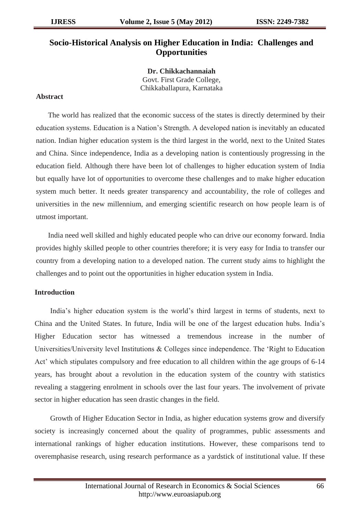# **Socio-Historical Analysis on Higher Education in India: Challenges and Opportunities**

**Dr. Chikkachannaiah** Govt. First Grade College, Chikkaballapura, Karnataka

## **Abstract**

The world has realized that the economic success of the states is directly determined by their education systems. Education is a Nation"s Strength. A developed nation is inevitably an educated nation. Indian higher education system is the third largest in the world, next to the United States and China. Since independence, India as a developing nation is contentiously progressing in the education field. Although there have been lot of challenges to higher education system of India but equally have lot of opportunities to overcome these challenges and to make higher education system much better. It needs greater transparency and accountability, the role of colleges and universities in the new millennium, and emerging scientific research on how people learn is of utmost important.

India need well skilled and highly educated people who can drive our economy forward. India provides highly skilled people to other countries therefore; it is very easy for India to transfer our country from a developing nation to a developed nation. The current study aims to highlight the challenges and to point out the opportunities in higher education system in India.

## **Introduction**

India"s higher education system is the world"s third largest in terms of students, next to China and the United States. In future, India will be one of the largest education hubs. India"s Higher Education sector has witnessed a tremendous increase in the number of Universities/University level Institutions & Colleges since independence. The "Right to Education Act" which stipulates compulsory and free education to all children within the age groups of 6-14 years, has brought about a revolution in the education system of the country with statistics revealing a staggering enrolment in schools over the last four years. The involvement of private sector in higher education has seen drastic changes in the field.

Growth of Higher Education Sector in India, as higher education systems grow and diversify society is increasingly concerned about the quality of programmes, public assessments and international rankings of higher education institutions. However, these comparisons tend to overemphasise research, using research performance as a yardstick of institutional value. If these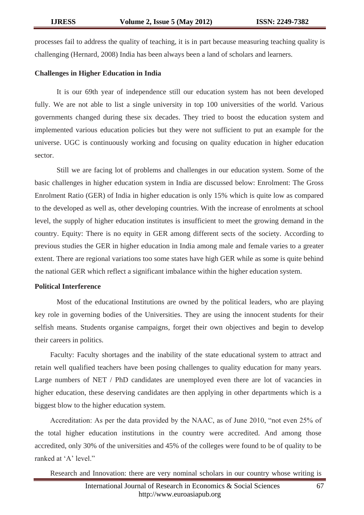processes fail to address the quality of teaching, it is in part because measuring teaching quality is challenging (Hernard, 2008) India has been always been a land of scholars and learners.

## **Challenges in Higher Education in India**

It is our 69th year of independence still our education system has not been developed fully. We are not able to list a single university in top 100 universities of the world. Various governments changed during these six decades. They tried to boost the education system and implemented various education policies but they were not sufficient to put an example for the universe. UGC is continuously working and focusing on quality education in higher education sector.

Still we are facing lot of problems and challenges in our education system. Some of the basic challenges in higher education system in India are discussed below: Enrolment: The Gross Enrolment Ratio (GER) of India in higher education is only 15% which is quite low as compared to the developed as well as, other developing countries. With the increase of enrolments at school level, the supply of higher education institutes is insufficient to meet the growing demand in the country. Equity: There is no equity in GER among different sects of the society. According to previous studies the GER in higher education in India among male and female varies to a greater extent. There are regional variations too some states have high GER while as some is quite behind the national GER which reflect a significant imbalance within the higher education system.

#### **Political Interference**

Most of the educational Institutions are owned by the political leaders, who are playing key role in governing bodies of the Universities. They are using the innocent students for their selfish means. Students organise campaigns, forget their own objectives and begin to develop their careers in politics.

Faculty: Faculty shortages and the inability of the state educational system to attract and retain well qualified teachers have been posing challenges to quality education for many years. Large numbers of NET / PhD candidates are unemployed even there are lot of vacancies in higher education, these deserving candidates are then applying in other departments which is a biggest blow to the higher education system.

Accreditation: As per the data provided by the NAAC, as of June 2010, "not even 25% of the total higher education institutions in the country were accredited. And among those accredited, only 30% of the universities and 45% of the colleges were found to be of quality to be ranked at 'A' level."

Research and Innovation: there are very nominal scholars in our country whose writing is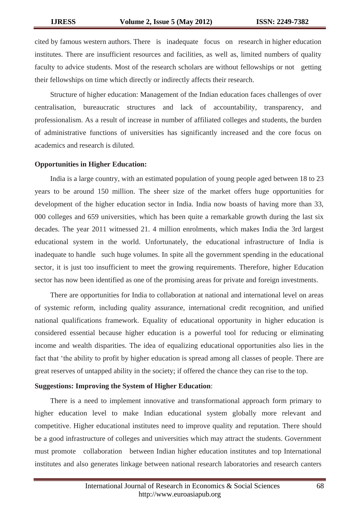cited by famous western authors. There is inadequate focus on research in higher education institutes. There are insufficient resources and facilities, as well as, limited numbers of quality faculty to advice students. Most of the research scholars are without fellowships or not getting their fellowships on time which directly or indirectly affects their research.

Structure of higher education: Management of the Indian education faces challenges of over centralisation, bureaucratic structures and lack of accountability, transparency, and professionalism. As a result of increase in number of affiliated colleges and students, the burden of administrative functions of universities has significantly increased and the core focus on academics and research is diluted.

## **Opportunities in Higher Education:**

India is a large country, with an estimated population of young people aged between 18 to 23 years to be around 150 million. The sheer size of the market offers huge opportunities for development of the higher education sector in India. India now boasts of having more than 33, 000 colleges and 659 universities, which has been quite a remarkable growth during the last six decades. The year 2011 witnessed 21. 4 million enrolments, which makes India the 3rd largest educational system in the world. Unfortunately, the educational infrastructure of India is inadequate to handle such huge volumes. In spite all the government spending in the educational sector, it is just too insufficient to meet the growing requirements. Therefore, higher Education sector has now been identified as one of the promising areas for private and foreign investments.

There are opportunities for India to collaboration at national and international level on areas of systemic reform, including quality assurance, international credit recognition, and unified national qualifications framework. Equality of educational opportunity in higher education is considered essential because higher education is a powerful tool for reducing or eliminating income and wealth disparities. The idea of equalizing educational opportunities also lies in the fact that "the ability to profit by higher education is spread among all classes of people. There are great reserves of untapped ability in the society; if offered the chance they can rise to the top.

## **Suggestions: Improving the System of Higher Education**:

There is a need to implement innovative and transformational approach form primary to higher education level to make Indian educational system globally more relevant and competitive. Higher educational institutes need to improve quality and reputation. There should be a good infrastructure of colleges and universities which may attract the students. Government must promote collaboration between Indian higher education institutes and top International institutes and also generates linkage between national research laboratories and research canters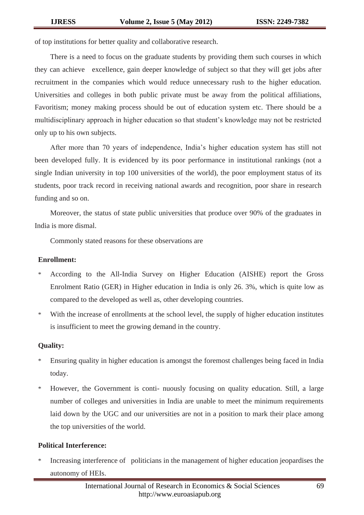of top institutions for better quality and collaborative research.

There is a need to focus on the graduate students by providing them such courses in which they can achieve excellence, gain deeper knowledge of subject so that they will get jobs after recruitment in the companies which would reduce unnecessary rush to the higher education. Universities and colleges in both public private must be away from the political affiliations, Favoritism; money making process should be out of education system etc. There should be a multidisciplinary approach in higher education so that student"s knowledge may not be restricted only up to his own subjects.

After more than 70 years of independence, India"s higher education system has still not been developed fully. It is evidenced by its poor performance in institutional rankings (not a single Indian university in top 100 universities of the world), the poor employment status of its students, poor track record in receiving national awards and recognition, poor share in research funding and so on.

Moreover, the status of state public universities that produce over 90% of the graduates in India is more dismal.

Commonly stated reasons for these observations are

#### **Enrollment:**

- According to the All-India Survey on Higher Education (AISHE) report the Gross Enrolment Ratio (GER) in Higher education in India is only 26. 3%, which is quite low as compared to the developed as well as, other developing countries.
- \* With the increase of enrollments at the school level, the supply of higher education institutes is insufficient to meet the growing demand in the country.

## **Quality:**

- \* Ensuring quality in higher education is amongst the foremost challenges being faced in India today.
- \* However, the Government is conti- nuously focusing on quality education. Still, a large number of colleges and universities in India are unable to meet the minimum requirements laid down by the UGC and our universities are not in a position to mark their place among the top universities of the world.

### **Political Interference:**

Increasing interference of politicians in the management of higher education jeopardises the autonomy of HEIs.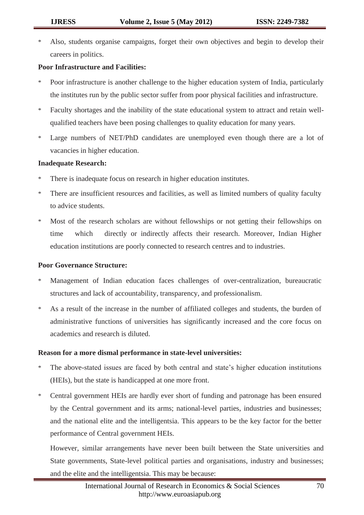Also, students organise campaigns, forget their own objectives and begin to develop their careers in politics.

# **Poor Infrastructure and Facilities:**

- \* Poor infrastructure is another challenge to the higher education system of India, particularly the institutes run by the public sector suffer from poor physical facilities and infrastructure.
- \* Faculty shortages and the inability of the state educational system to attract and retain wellqualified teachers have been posing challenges to quality education for many years.
- Large numbers of NET/PhD candidates are unemployed even though there are a lot of vacancies in higher education.

# **Inadequate Research:**

- \* There is inadequate focus on research in higher education institutes.
- \* There are insufficient resources and facilities, as well as limited numbers of quality faculty to advice students.
- \* Most of the research scholars are without fellowships or not getting their fellowships on time which directly or indirectly affects their research. Moreover, Indian Higher education institutions are poorly connected to research centres and to industries.

## **Poor Governance Structure:**

- \* Management of Indian education faces challenges of over-centralization, bureaucratic structures and lack of accountability, transparency, and professionalism.
- \* As a result of the increase in the number of affiliated colleges and students, the burden of administrative functions of universities has significantly increased and the core focus on academics and research is diluted.

# **Reason for a more dismal performance in state-level universities:**

- The above-stated issues are faced by both central and state's higher education institutions (HEIs), but the state is handicapped at one more front.
- \* Central government HEIs are hardly ever short of funding and patronage has been ensured by the Central government and its arms; national-level parties, industries and businesses; and the national elite and the intelligentsia. This appears to be the key factor for the better performance of Central government HEIs.

However, similar arrangements have never been built between the State universities and State governments, State-level political parties and organisations, industry and businesses; and the elite and the intelligentsia. This may be because: